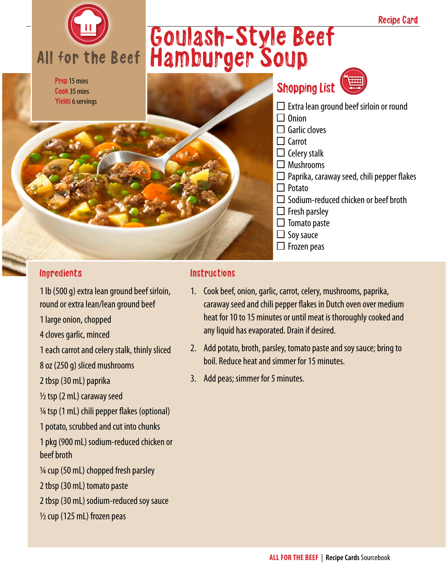

## Ingredients

1 lb (500 g) extra lean ground beef sirloin, round or extra lean/lean ground beef 1 large onion, chopped 4 cloves garlic, minced 1 each carrot and celery stalk, thinly sliced 8 oz (250 g) sliced mushrooms

2 tbsp (30 mL) paprika

 $\frac{1}{2}$  tsp (2 mL) caraway seed

 $\frac{1}{4}$  tsp (1 mL) chili pepper flakes (optional)

1 potato, scrubbed and cut into chunks

- 1 pkg (900 mL) sodium-reduced chicken or beef broth
- $\frac{1}{4}$  cup (50 mL) chopped fresh parsley
- 2 tbsp (30 mL) tomato paste
- 2 tbsp (30 mL) sodium-reduced soy sauce
- ½ cup (125 mL) frozen peas

## **Instructions**

- 1. Cook beef, onion, garlic, carrot, celery, mushrooms, paprika, caraway seed and chili pepper flakes in Dutch oven over medium heat for 10 to 15 minutes or until meat is thoroughly cooked and any liquid has evaporated. Drain if desired.
- 2. Add potato, broth, parsley, tomato paste and soy sauce; bring to boil. Reduce heat and simmer for 15 minutes.
- 3. Add peas; simmer for 5 minutes.